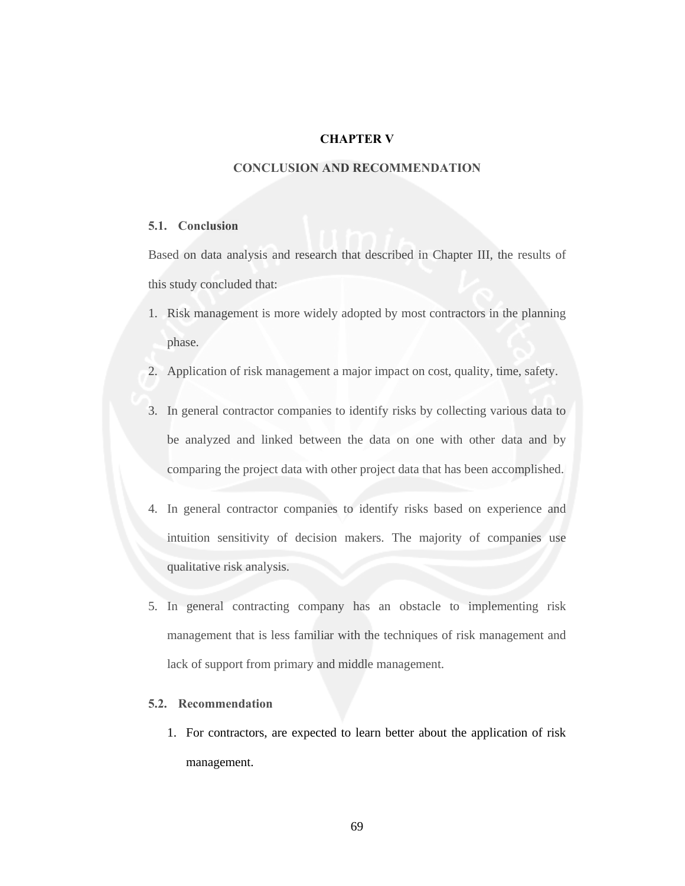### **CHAPTER V**

## **CONCLUSION AND RECOMMENDATION**

#### **5.1. Conclusion**

Based on data analysis and research that described in Chapter III, the results of this study concluded that:

- 1. Risk management is more widely adopted by most contractors in the planning phase.
- 2. Application of risk management a major impact on cost, quality, time, safety.
- 3. In general contractor companies to identify risks by collecting various data to be analyzed and linked between the data on one with other data and by comparing the project data with other project data that has been accomplished.
- 4. In general contractor companies to identify risks based on experience and intuition sensitivity of decision makers. The majority of companies use qualitative risk analysis.
- 5. In general contracting company has an obstacle to implementing risk management that is less familiar with the techniques of risk management and lack of support from primary and middle management.

## **5.2. Recommendation**

1. For contractors, are expected to learn better about the application of risk management.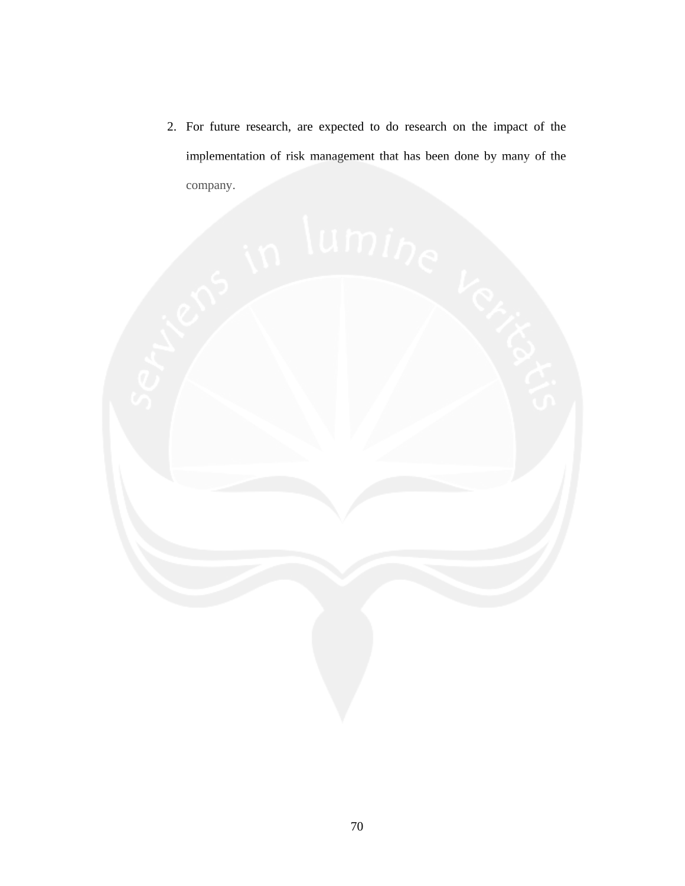2. For future research, are expected to do research on the impact of the implementation of risk management that has been done by many of the company.

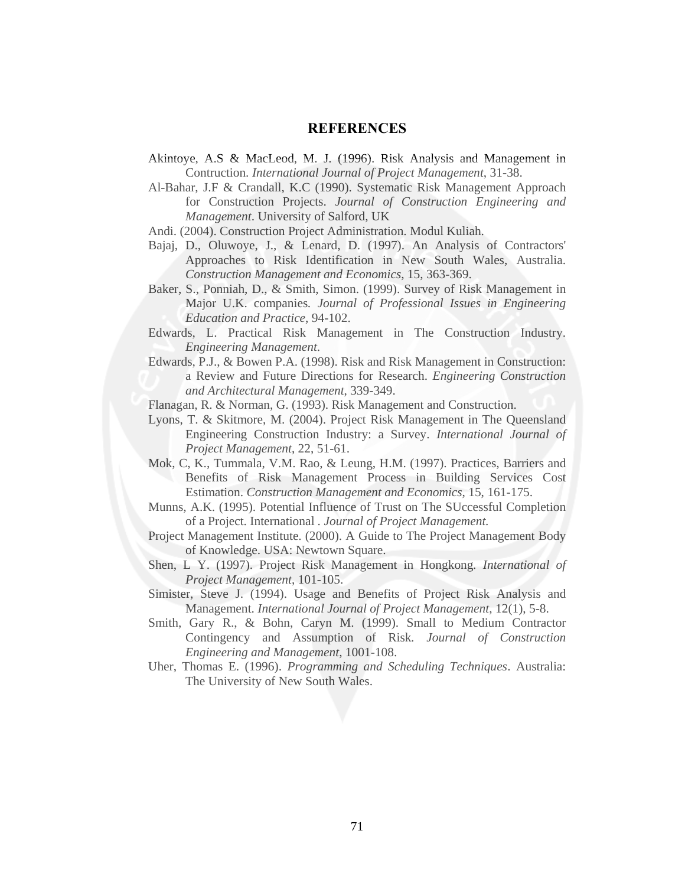## **REFERENCES**

- Akintoye, A.S & MacLeod, M. J. (1996). Risk Analysis and Management in Contruction. *International Journal of Project Management*, 31-38.
- Al-Bahar, J.F & Crandall, K.C (1990). Systematic Risk Management Approach for Construction Projects. *Journal of Construction Engineering and Management*. University of Salford, UK
- Andi. (2004). Construction Project Administration. Modul Kuliah.
- Bajaj, D., Oluwoye, J., & Lenard, D. (1997). An Analysis of Contractors' Approaches to Risk Identification in New South Wales, Australia. *Construction Management and Economics*, 15, 363-369.
- Baker, S., Ponniah, D., & Smith, Simon. (1999). Survey of Risk Management in Major U.K. companies*. Journal of Professional Issues in Engineering Education and Practice*, 94-102.
- Edwards, L. Practical Risk Management in The Construction Industry. *Engineering Management*.
- Edwards, P.J., & Bowen P.A. (1998). Risk and Risk Management in Construction: a Review and Future Directions for Research. *Engineering Construction and Architectural Management*, 339-349.
- Flanagan, R. & Norman, G. (1993). Risk Management and Construction.
- Lyons, T. & Skitmore, M. (2004). Project Risk Management in The Queensland Engineering Construction Industry: a Survey. *International Journal of Project Management*, 22, 51-61.
- Mok, C, K., Tummala, V.M. Rao, & Leung, H.M. (1997). Practices, Barriers and Benefits of Risk Management Process in Building Services Cost Estimation. *Construction Management and Economics*, 15, 161-175.
- Munns, A.K. (1995). Potential Influence of Trust on The SUccessful Completion of a Project. International *. Journal of Project Management.*
- Project Management Institute. (2000). A Guide to The Project Management Body of Knowledge. USA: Newtown Square.
- Shen, L Y. (1997). Project Risk Management in Hongkong*. International of Project Management*, 101-105.
- Simister, Steve J. (1994). Usage and Benefits of Project Risk Analysis and Management. *International Journal of Project Management*, 12(1), 5-8.
- Smith, Gary R., & Bohn, Caryn M. (1999). Small to Medium Contractor Contingency and Assumption of Risk*. Journal of Construction Engineering and Management*, 1001-108.
- Uher, Thomas E. (1996). *Programming and Scheduling Techniques*. Australia: The University of New South Wales.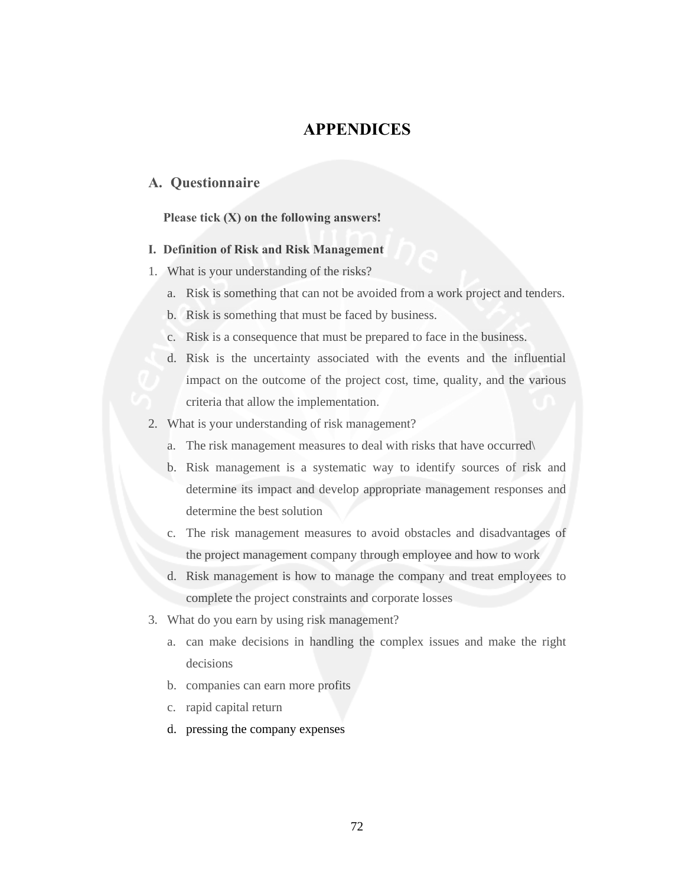# **APPENDICES**

## **A. Questionnaire**

### **Please tick (X) on the following answers!**

#### **I. Definition of Risk and Risk Management**

- 1. What is your understanding of the risks?
	- a. Risk is something that can not be avoided from a work project and tenders.
	- b. Risk is something that must be faced by business.
	- c. Risk is a consequence that must be prepared to face in the business.
	- d. Risk is the uncertainty associated with the events and the influential impact on the outcome of the project cost, time, quality, and the various criteria that allow the implementation.
- 2. What is your understanding of risk management?
	- a. The risk management measures to deal with risks that have occurred\
	- b. Risk management is a systematic way to identify sources of risk and determine its impact and develop appropriate management responses and determine the best solution
	- c. The risk management measures to avoid obstacles and disadvantages of the project management company through employee and how to work
	- d. Risk management is how to manage the company and treat employees to complete the project constraints and corporate losses
- 3. What do you earn by using risk management?
	- a. can make decisions in handling the complex issues and make the right decisions
	- b. companies can earn more profits
	- c. rapid capital return
	- d. pressing the company expenses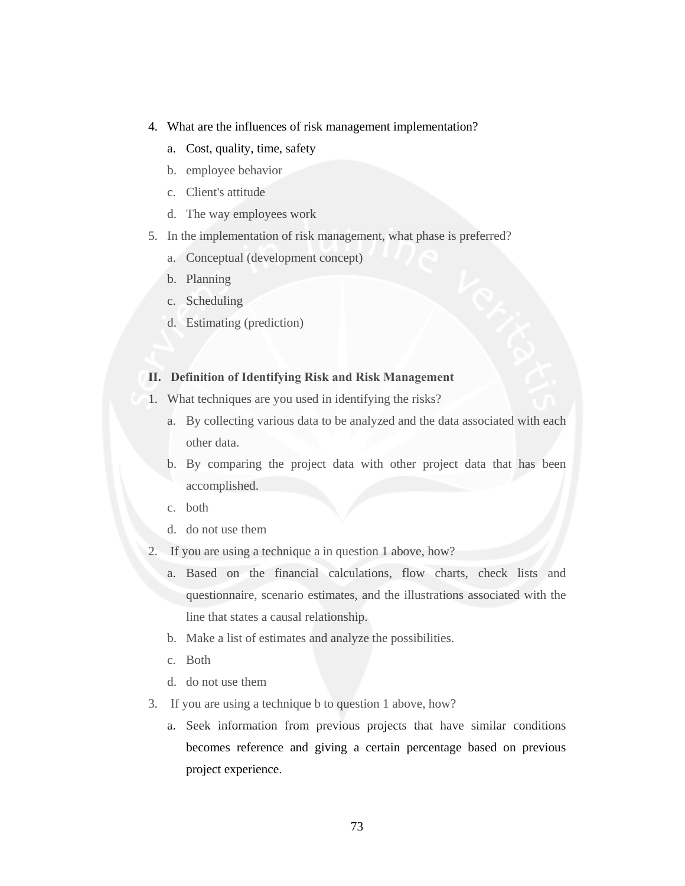- 4. What are the influences of risk management implementation?
	- a. Cost, quality, time, safety
	- b. employee behavior
	- c. Client's attitude
	- d. The way employees work
- 5. In the implementation of risk management, what phase is preferred?
	- a. Conceptual (development concept)
	- b. Planning
	- c. Scheduling
	- d. Estimating (prediction)

## **II. Definition of Identifying Risk and Risk Management**

- 1. What techniques are you used in identifying the risks?
	- a. By collecting various data to be analyzed and the data associated with each other data.
	- b. By comparing the project data with other project data that has been accomplished.
	- c. both
	- d. do not use them
- 2. If you are using a technique a in question 1 above, how?
	- a. Based on the financial calculations, flow charts, check lists and questionnaire, scenario estimates, and the illustrations associated with the line that states a causal relationship.
	- b. Make a list of estimates and analyze the possibilities.
	- c. Both
	- d. do not use them
- 3. If you are using a technique b to question 1 above, how?
	- a. Seek information from previous projects that have similar conditions becomes reference and giving a certain percentage based on previous project experience.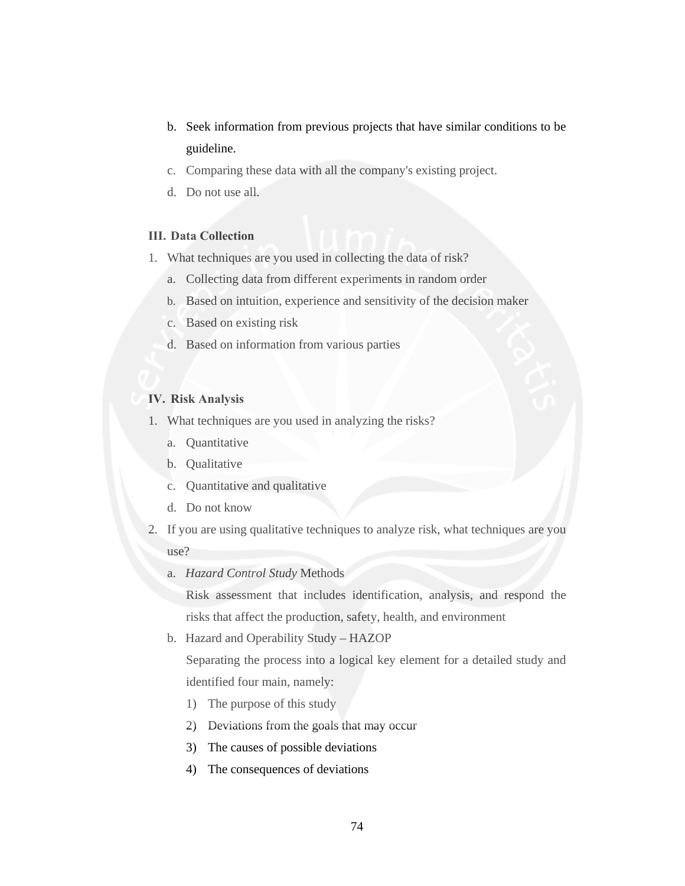- b. Seek information from previous projects that have similar conditions to be guideline.
- c. Comparing these data with all the company's existing project.
- d. Do not use all.

### **III. Data Collection**

- 1. What techniques are you used in collecting the data of risk?
	- a. Collecting data from different experiments in random order
	- b. Based on intuition, experience and sensitivity of the decision maker
	- c. Based on existing risk
	- d. Based on information from various parties

#### **IV. Risk Analysis**

- 1. What techniques are you used in analyzing the risks?
	- a. Quantitative
	- b. Qualitative
	- c. Quantitative and qualitative
	- d. Do not know
- 2. If you are using qualitative techniques to analyze risk, what techniques are you use?
	- a. *Hazard Control Study* Methods

Risk assessment that includes identification, analysis, and respond the risks that affect the production, safety, health, and environment

b. Hazard and Operability Study – HAZOP

Separating the process into a logical key element for a detailed study and identified four main, namely:

- 1) The purpose of this study
- 2) Deviations from the goals that may occur
- 3) The causes of possible deviations
- 4) The consequences of deviations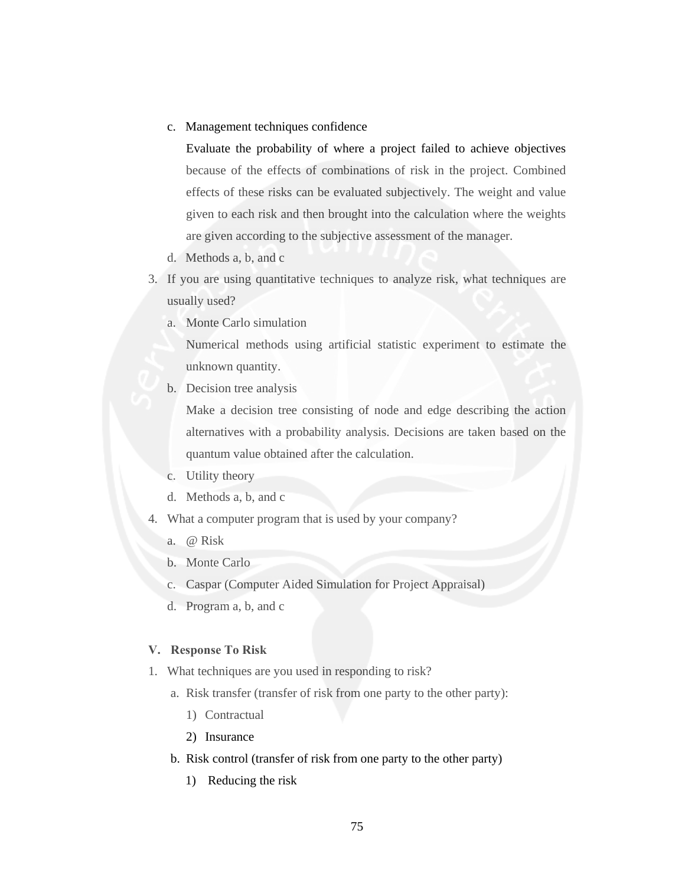c. Management techniques confidence

Evaluate the probability of where a project failed to achieve objectives because of the effects of combinations of risk in the project. Combined effects of these risks can be evaluated subjectively. The weight and value given to each risk and then brought into the calculation where the weights are given according to the subjective assessment of the manager.

- d. Methods a, b, and c
- 3. If you are using quantitative techniques to analyze risk, what techniques are usually used?
	- a. Monte Carlo simulation

Numerical methods using artificial statistic experiment to estimate the unknown quantity.

b. Decision tree analysis

Make a decision tree consisting of node and edge describing the action alternatives with a probability analysis. Decisions are taken based on the quantum value obtained after the calculation.

- c. Utility theory
- d. Methods a, b, and c
- 4. What a computer program that is used by your company?
	- a. @ Risk
	- b. Monte Carlo
	- c. Caspar (Computer Aided Simulation for Project Appraisal)
	- d. Program a, b, and c

#### **V. Response To Risk**

- 1. What techniques are you used in responding to risk?
	- a. Risk transfer (transfer of risk from one party to the other party):
		- 1) Contractual
		- 2) Insurance
	- b. Risk control (transfer of risk from one party to the other party)
		- 1) Reducing the risk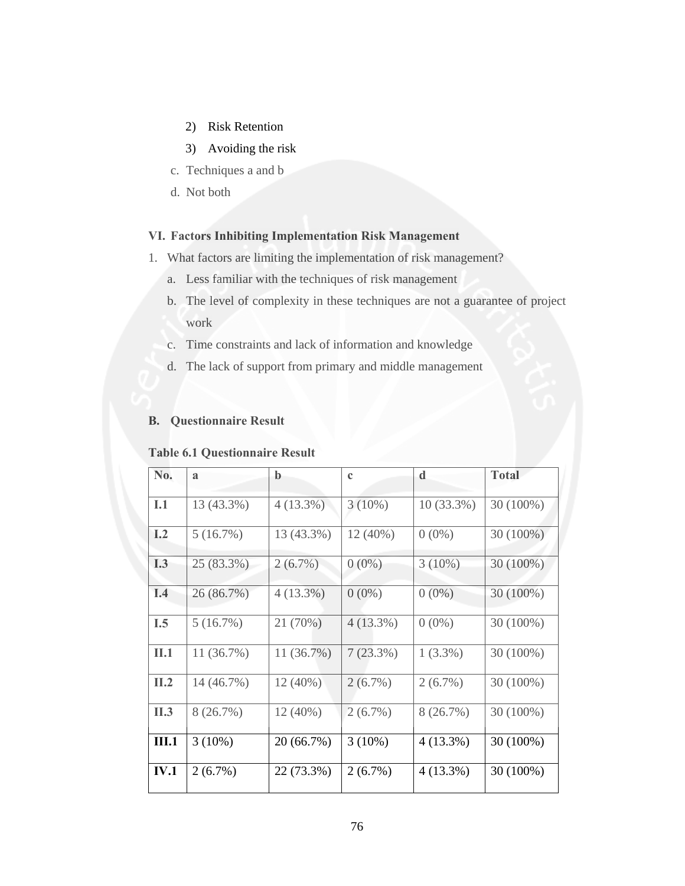- 2) Risk Retention
- 3) Avoiding the risk
- c. Techniques a and b
- d. Not both

## **VI. Factors Inhibiting Implementation Risk Management**

- 1. What factors are limiting the implementation of risk management?
	- a. Less familiar with the techniques of risk management
	- b. The level of complexity in these techniques are not a guarantee of project work
	- c. Time constraints and lack of information and knowledge
	- d. The lack of support from primary and middle management

## **B. Questionnaire Result**

## **Table 6.1 Questionnaire Result**

| No.          | $\mathbf{a}$ | b          | $\mathbf c$ | d            | <b>Total</b> |
|--------------|--------------|------------|-------------|--------------|--------------|
| I.1          | 13 (43.3%)   | 4(13.3%)   | $3(10\%)$   | $10(33.3\%)$ | 30 (100%)    |
| I.2          | 5(16.7%)     | 13 (43.3%) | 12 (40%)    | $0(0\%)$     | $30(100\%)$  |
| <b>I.3</b>   | 25 (83.3%)   | $2(6.7\%)$ | $0(0\%)$    | $3(10\%)$    | 30 (100%)    |
| I.4          | 26 (86.7%)   | 4(13.3%)   | $0(0\%)$    | $0(0\%)$     | 30 (100%)    |
| I.5          | 5(16.7%)     | 21 (70%)   | $4(13.3\%)$ | $0(0\%)$     | $30(100\%)$  |
| II.1         | 11(36.7%)    | 11 (36.7%) | $7(23.3\%)$ | $1(3.3\%)$   | 30 (100%)    |
| II.2         | 14 (46.7%)   | $12(40\%)$ | $2(6.7\%)$  | $2(6.7\%)$   | $30(100\%)$  |
| II.3         | 8(26.7%)     | 12 (40%)   | $2(6.7\%)$  | 8(26.7%)     | $30(100\%)$  |
| <b>III.1</b> | $3(10\%)$    | 20 (66.7%) | $3(10\%)$   | $4(13.3\%)$  | 30 (100%)    |
| <b>IV.1</b>  | $2(6.7\%)$   | 22 (73.3%) | $2(6.7\%)$  | $4(13.3\%)$  | 30 (100%)    |